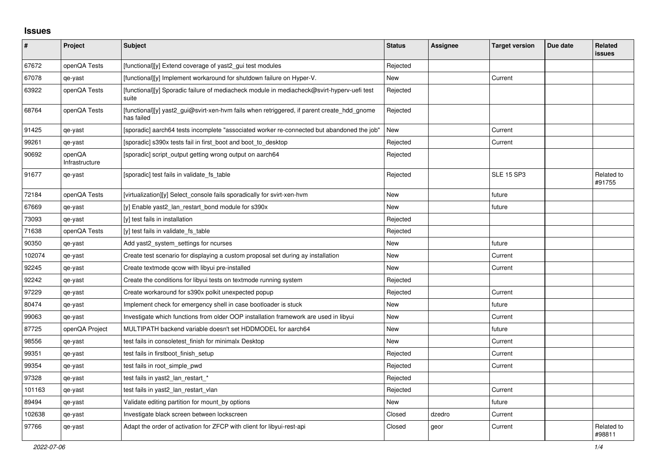## **Issues**

| #      | Project                  | <b>Subject</b>                                                                                           | <b>Status</b> | <b>Assignee</b> | <b>Target version</b> | Due date | <b>Related</b><br><b>issues</b> |
|--------|--------------------------|----------------------------------------------------------------------------------------------------------|---------------|-----------------|-----------------------|----------|---------------------------------|
| 67672  | openQA Tests             | [functional][y] Extend coverage of yast2_gui test modules                                                | Rejected      |                 |                       |          |                                 |
| 67078  | qe-yast                  | [functional][y] Implement workaround for shutdown failure on Hyper-V.                                    | New           |                 | Current               |          |                                 |
| 63922  | openQA Tests             | [functional][y] Sporadic failure of mediacheck module in mediacheck@svirt-hyperv-uefi test<br>suite      | Rejected      |                 |                       |          |                                 |
| 68764  | openQA Tests             | [functional][y] yast2_gui@svirt-xen-hvm fails when retriggered, if parent create_hdd_gnome<br>has failed | Rejected      |                 |                       |          |                                 |
| 91425  | qe-yast                  | [sporadic] aarch64 tests incomplete "associated worker re-connected but abandoned the job"               | <b>New</b>    |                 | Current               |          |                                 |
| 99261  | qe-yast                  | [sporadic] s390x tests fail in first_boot and boot_to_desktop                                            | Rejected      |                 | Current               |          |                                 |
| 90692  | openQA<br>Infrastructure | [sporadic] script_output getting wrong output on aarch64                                                 | Rejected      |                 |                       |          |                                 |
| 91677  | qe-yast                  | [sporadic] test fails in validate fs table                                                               | Rejected      |                 | <b>SLE 15 SP3</b>     |          | Related to<br>#91755            |
| 72184  | openQA Tests             | [virtualization][y] Select_console fails sporadically for svirt-xen-hvm                                  | <b>New</b>    |                 | future                |          |                                 |
| 67669  | qe-yast                  | [y] Enable yast2_lan_restart_bond module for s390x                                                       | New           |                 | future                |          |                                 |
| 73093  | qe-yast                  | [y] test fails in installation                                                                           | Rejected      |                 |                       |          |                                 |
| 71638  | openQA Tests             | [y] test fails in validate fs_table                                                                      | Rejected      |                 |                       |          |                                 |
| 90350  | qe-yast                  | Add yast2_system_settings for ncurses                                                                    | New           |                 | future                |          |                                 |
| 102074 | qe-yast                  | Create test scenario for displaying a custom proposal set during ay installation                         | New           |                 | Current               |          |                                 |
| 92245  | qe-yast                  | Create textmode gcow with libyui pre-installed                                                           | New           |                 | Current               |          |                                 |
| 92242  | qe-yast                  | Create the conditions for libyui tests on textmode running system                                        | Rejected      |                 |                       |          |                                 |
| 97229  | qe-yast                  | Create workaround for s390x polkit unexpected popup                                                      | Rejected      |                 | Current               |          |                                 |
| 80474  | qe-yast                  | Implement check for emergency shell in case bootloader is stuck                                          | <b>New</b>    |                 | future                |          |                                 |
| 99063  | qe-yast                  | Investigate which functions from older OOP installation framework are used in libyui                     | New           |                 | Current               |          |                                 |
| 87725  | openQA Project           | MULTIPATH backend variable doesn't set HDDMODEL for aarch64                                              | New           |                 | future                |          |                                 |
| 98556  | qe-yast                  | test fails in consoletest finish for minimalx Desktop                                                    | New           |                 | Current               |          |                                 |
| 99351  | qe-yast                  | test fails in firstboot finish setup                                                                     | Rejected      |                 | Current               |          |                                 |
| 99354  | qe-yast                  | test fails in root_simple_pwd                                                                            | Rejected      |                 | Current               |          |                                 |
| 97328  | qe-yast                  | test fails in yast2_lan_restart_*                                                                        | Rejected      |                 |                       |          |                                 |
| 101163 | qe-yast                  | test fails in yast2 Ian restart vlan                                                                     | Rejected      |                 | Current               |          |                                 |
| 89494  | qe-yast                  | Validate editing partition for mount by options                                                          | New           |                 | future                |          |                                 |
| 102638 | qe-yast                  | Investigate black screen between lockscreen                                                              | Closed        | dzedro          | Current               |          |                                 |
| 97766  | qe-yast                  | Adapt the order of activation for ZFCP with client for libyui-rest-api                                   | Closed        | geor            | Current               |          | Related to<br>#98811            |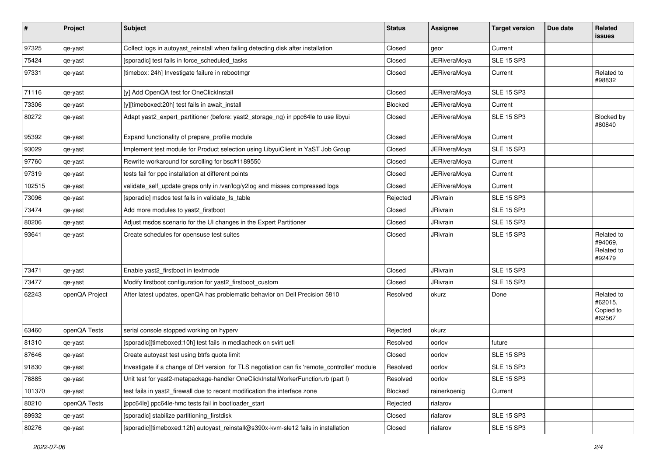| $\sharp$ | Project        | <b>Subject</b>                                                                               | <b>Status</b> | Assignee            | <b>Target version</b> | Due date | Related<br>issues                             |
|----------|----------------|----------------------------------------------------------------------------------------------|---------------|---------------------|-----------------------|----------|-----------------------------------------------|
| 97325    | qe-yast        | Collect logs in autoyast_reinstall when failing detecting disk after installation            | Closed        | geor                | Current               |          |                                               |
| 75424    | qe-yast        | [sporadic] test fails in force_scheduled_tasks                                               | Closed        | <b>JERiveraMoya</b> | SLE 15 SP3            |          |                                               |
| 97331    | qe-yast        | [timebox: 24h] Investigate failure in rebootmgr                                              | Closed        | JERiveraMoya        | Current               |          | Related to<br>#98832                          |
| 71116    | qe-yast        | [y] Add OpenQA test for OneClickInstall                                                      | Closed        | <b>JERiveraMoya</b> | <b>SLE 15 SP3</b>     |          |                                               |
| 73306    | qe-yast        | [y][timeboxed:20h] test fails in await install                                               | Blocked       | JERiveraMoya        | Current               |          |                                               |
| 80272    | qe-yast        | Adapt yast2_expert_partitioner (before: yast2_storage_ng) in ppc64le to use libyui           | Closed        | <b>JERiveraMoya</b> | <b>SLE 15 SP3</b>     |          | Blocked by<br>#80840                          |
| 95392    | qe-yast        | Expand functionality of prepare_profile module                                               | Closed        | <b>JERiveraMoya</b> | Current               |          |                                               |
| 93029    | qe-yast        | Implement test module for Product selection using LibyuiClient in YaST Job Group             | Closed        | JERiveraMoya        | <b>SLE 15 SP3</b>     |          |                                               |
| 97760    | qe-yast        | Rewrite workaround for scrolling for bsc#1189550                                             | Closed        | <b>JERiveraMoya</b> | Current               |          |                                               |
| 97319    | qe-yast        | tests fail for ppc installation at different points                                          | Closed        | <b>JERiveraMoya</b> | Current               |          |                                               |
| 102515   | qe-yast        | validate_self_update greps only in /var/log/y2log and misses compressed logs                 | Closed        | <b>JERiveraMova</b> | Current               |          |                                               |
| 73096    | qe-yast        | [sporadic] msdos test fails in validate_fs_table                                             | Rejected      | JRivrain            | <b>SLE 15 SP3</b>     |          |                                               |
| 73474    | qe-yast        | Add more modules to yast2_firstboot                                                          | Closed        | JRivrain            | <b>SLE 15 SP3</b>     |          |                                               |
| 80206    | qe-yast        | Adjust msdos scenario for the UI changes in the Expert Partitioner                           | Closed        | JRivrain            | <b>SLE 15 SP3</b>     |          |                                               |
| 93641    | qe-yast        | Create schedules for opensuse test suites                                                    | Closed        | JRivrain            | <b>SLE 15 SP3</b>     |          | Related to<br>#94069,<br>Related to<br>#92479 |
| 73471    | qe-yast        | Enable yast2_firstboot in textmode                                                           | Closed        | JRivrain            | <b>SLE 15 SP3</b>     |          |                                               |
| 73477    | qe-yast        | Modify firstboot configuration for yast2_firstboot_custom                                    | Closed        | JRivrain            | <b>SLE 15 SP3</b>     |          |                                               |
| 62243    | openQA Project | After latest updates, openQA has problematic behavior on Dell Precision 5810                 | Resolved      | okurz               | Done                  |          | Related to<br>#62015,<br>Copied to<br>#62567  |
| 63460    | openQA Tests   | serial console stopped working on hyperv                                                     | Rejected      | okurz               |                       |          |                                               |
| 81310    | qe-yast        | [sporadic][timeboxed:10h] test fails in mediacheck on svirt uefi                             | Resolved      | oorlov              | future                |          |                                               |
| 87646    | qe-yast        | Create autoyast test using btrfs quota limit                                                 | Closed        | oorlov              | <b>SLE 15 SP3</b>     |          |                                               |
| 91830    | qe-yast        | Investigate if a change of DH version for TLS negotiation can fix 'remote_controller' module | Resolved      | oorlov              | <b>SLE 15 SP3</b>     |          |                                               |
| 76885    | qe-yast        | Unit test for yast2-metapackage-handler OneClickInstallWorkerFunction.rb (part I)            | Resolved      | oorlov              | <b>SLE 15 SP3</b>     |          |                                               |
| 101370   | qe-yast        | test fails in yast2_firewall due to recent modification the interface zone                   | Blocked       | rainerkoenig        | Current               |          |                                               |
| 80210    | openQA Tests   | [ppc64le] ppc64le-hmc tests fail in bootloader_start                                         | Rejected      | riafarov            |                       |          |                                               |
| 89932    | qe-yast        | [sporadic] stabilize partitioning_firstdisk                                                  | Closed        | riafarov            | <b>SLE 15 SP3</b>     |          |                                               |
| 80276    | qe-yast        | [sporadic][timeboxed:12h] autoyast_reinstall@s390x-kvm-sle12 fails in installation           | Closed        | riafarov            | <b>SLE 15 SP3</b>     |          |                                               |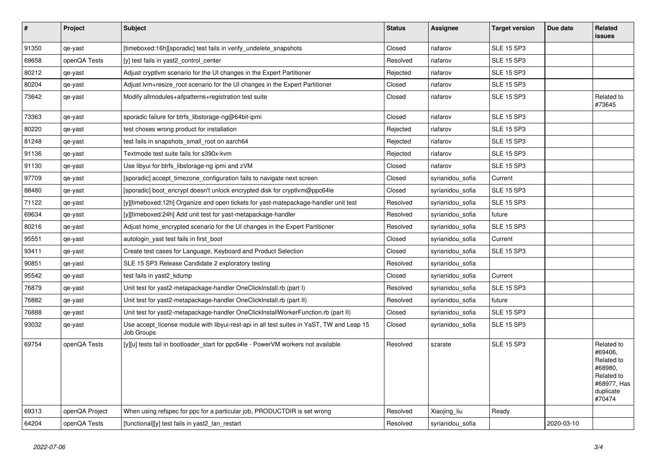| $\pmb{\#}$ | Project        | <b>Subject</b>                                                                                          | <b>Status</b> | Assignee         | <b>Target version</b> | Due date   | Related<br><b>issues</b>                                                                           |
|------------|----------------|---------------------------------------------------------------------------------------------------------|---------------|------------------|-----------------------|------------|----------------------------------------------------------------------------------------------------|
| 91350      | qe-yast        | [timeboxed:16h][sporadic] test fails in verify_undelete_snapshots                                       | Closed        | riafarov         | <b>SLE 15 SP3</b>     |            |                                                                                                    |
| 69658      | openQA Tests   | [y] test fails in yast2_control_center                                                                  | Resolved      | riafarov         | <b>SLE 15 SP3</b>     |            |                                                                                                    |
| 80212      | qe-yast        | Adjust cryptivm scenario for the UI changes in the Expert Partitioner                                   | Rejected      | riafarov         | <b>SLE 15 SP3</b>     |            |                                                                                                    |
| 80204      | qe-yast        | Adjust lvm+resize_root scenario for the UI changes in the Expert Partitioner                            | Closed        | riafarov         | <b>SLE 15 SP3</b>     |            |                                                                                                    |
| 73642      | qe-yast        | Modify allmodules+allpatterns+registration test suite                                                   | Closed        | riafarov         | <b>SLE 15 SP3</b>     |            | Related to<br>#73645                                                                               |
| 73363      | qe-yast        | sporadic failure for btrfs_libstorage-ng@64bit-ipmi                                                     | Closed        | riafarov         | <b>SLE 15 SP3</b>     |            |                                                                                                    |
| 80220      | qe-yast        | test choses wrong product for installation                                                              | Rejected      | riafarov         | <b>SLE 15 SP3</b>     |            |                                                                                                    |
| 81248      | qe-yast        | test fails in snapshots small root on aarch64                                                           | Rejected      | riafarov         | <b>SLE 15 SP3</b>     |            |                                                                                                    |
| 91136      | qe-yast        | Textmode test suite fails for s390x-kvm                                                                 | Rejected      | riafarov         | <b>SLE 15 SP3</b>     |            |                                                                                                    |
| 91130      | qe-yast        | Use libyui for btrfs_libstorage-ng ipmi and zVM                                                         | Closed        | riafarov         | <b>SLE 15 SP3</b>     |            |                                                                                                    |
| 97709      | qe-yast        | [sporadic] accept_timezone_configuration fails to navigate next screen                                  | Closed        | syrianidou_sofia | Current               |            |                                                                                                    |
| 88480      | qe-yast        | [sporadic] boot encrypt doesn't unlock encrypted disk for cryptlym@ppc64le                              | Closed        | syrianidou sofia | <b>SLE 15 SP3</b>     |            |                                                                                                    |
| 71122      | qe-yast        | [y][timeboxed:12h] Organize and open tickets for yast-matepackage-handler unit test                     | Resolved      | syrianidou sofia | <b>SLE 15 SP3</b>     |            |                                                                                                    |
| 69634      | qe-yast        | [y][timeboxed:24h] Add unit test for yast-metapackage-handler                                           | Resolved      | syrianidou sofia | future                |            |                                                                                                    |
| 80216      | qe-yast        | Adjust home encrypted scenario for the UI changes in the Expert Partitioner                             | Resolved      | syrianidou sofia | <b>SLE 15 SP3</b>     |            |                                                                                                    |
| 95551      | qe-yast        | autologin_yast test fails in first_boot                                                                 | Closed        | syrianidou sofia | Current               |            |                                                                                                    |
| 93411      | qe-yast        | Create test cases for Language, Keyboard and Product Selection                                          | Closed        | syrianidou sofia | <b>SLE 15 SP3</b>     |            |                                                                                                    |
| 90851      | qe-yast        | SLE 15 SP3 Release Candidate 2 exploratory testing                                                      | Resolved      | syrianidou_sofia |                       |            |                                                                                                    |
| 95542      | qe-yast        | test fails in yast2_kdump                                                                               | Closed        | syrianidou_sofia | Current               |            |                                                                                                    |
| 76879      | qe-yast        | Unit test for yast2-metapackage-handler OneClickInstall.rb (part I)                                     | Resolved      | syrianidou sofia | <b>SLE 15 SP3</b>     |            |                                                                                                    |
| 76882      | qe-yast        | Unit test for yast2-metapackage-handler OneClickInstall.rb (part II)                                    | Resolved      | syrianidou sofia | future                |            |                                                                                                    |
| 76888      | qe-yast        | Unit test for yast2-metapackage-handler OneClickInstallWorkerFunction.rb (part II)                      | Closed        | syrianidou sofia | <b>SLE 15 SP3</b>     |            |                                                                                                    |
| 93032      | qe-yast        | Use accept license module with libyui-rest-api in all test suites in YaST, TW and Leap 15<br>Job Groups | Closed        | syrianidou sofia | <b>SLE 15 SP3</b>     |            |                                                                                                    |
| 69754      | openQA Tests   | [y][u] tests fail in bootloader_start for ppc64le - PowerVM workers not available                       | Resolved      | szarate          | <b>SLE 15 SP3</b>     |            | Related to<br>#69406,<br>Related to<br>#68980,<br>Related to<br>#68977, Has<br>duplicate<br>#70474 |
| 69313      | openQA Project | When using refspec for ppc for a particular job, PRODUCTDIR is set wrong                                | Resolved      | Xiaojing_liu     | Ready                 |            |                                                                                                    |
| 64204      | openQA Tests   | [functional][y] test fails in yast2 lan restart                                                         | Resolved      | syrianidou sofia |                       | 2020-03-10 |                                                                                                    |